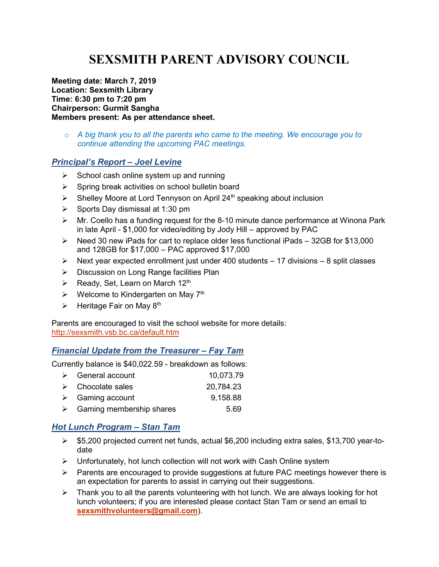# SEXSMITH PARENT ADVISORY COUNCIL

Meeting date: March 7, 2019 Location: Sexsmith Library Time: 6:30 pm to 7:20 pm Chairperson: Gurmit Sangha Members present: As per attendance sheet.

 $\circ$  A big thank you to all the parents who came to the meeting. We encourage you to continue attending the upcoming PAC meetings.

#### Principal's Report – Joel Levine

- $\triangleright$  School cash online system up and running
- $\triangleright$  Spring break activities on school bulletin board
- $\triangleright$  Shelley Moore at Lord Tennyson on April 24<sup>th</sup> speaking about inclusion
- $\triangleright$  Sports Day dismissal at 1:30 pm
- $\triangleright$  Mr. Coello has a funding request for the 8-10 minute dance performance at Winona Park in late April - \$1,000 for video/editing by Jody Hill – approved by PAC
- $\triangleright$  Need 30 new iPads for cart to replace older less functional iPads 32GB for \$13,000 and 128GB for \$17,000 – PAC approved \$17,000
- $\triangleright$  Next year expected enrollment just under 400 students 17 divisions 8 split classes
- **▶** Discussion on Long Range facilities Plan
- $\triangleright$  Ready, Set, Learn on March 12<sup>th</sup>
- $\triangleright$  Welcome to Kindergarten on May 7<sup>th</sup>
- $\triangleright$  Heritage Fair on May 8<sup>th</sup>

Parents are encouraged to visit the school website for more details: http://sexsmith.vsb.bc.ca/default.htm

#### Financial Update from the Treasurer – Fay Tam

Currently balance is \$40,022.59 - breakdown as follows:

| $\triangleright$ General account          | 10,073.79 |
|-------------------------------------------|-----------|
| $\triangleright$ Chocolate sales          | 20,784.23 |
| $\triangleright$ Gaming account           | 9,158.88  |
| $\triangleright$ Gaming membership shares | 5.69      |

### Hot Lunch Program – Stan Tam

- \$5,200 projected current net funds, actual \$6,200 including extra sales, \$13,700 year-todate
- $\triangleright$  Unfortunately, hot lunch collection will not work with Cash Online system
- $\triangleright$  Parents are encouraged to provide suggestions at future PAC meetings however there is an expectation for parents to assist in carrying out their suggestions.
- $\triangleright$  Thank you to all the parents volunteering with hot lunch. We are always looking for hot lunch volunteers; if you are interested please contact Stan Tam or send an email to sexsmithvolunteers@gmail.com).